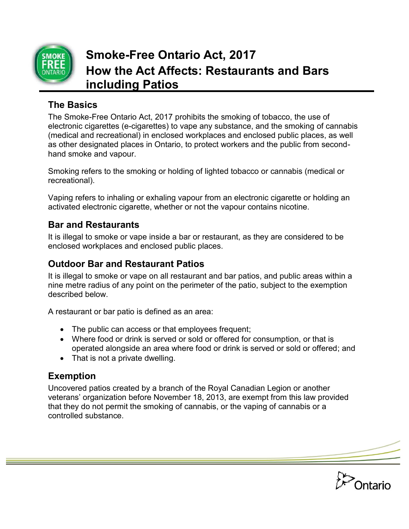

# **Smoke-Free Ontario Act, 2017 How the Act Affects: Restaurants and Bars including Patios**

## **The Basics**

The Smoke-Free Ontario Act, 2017 prohibits the smoking of tobacco, the use of electronic cigarettes (e-cigarettes) to vape any substance, and the smoking of cannabis (medical and recreational) in enclosed workplaces and enclosed public places, as well as other designated places in Ontario, to protect workers and the public from secondhand smoke and vapour.

Smoking refers to the smoking or holding of lighted tobacco or cannabis (medical or recreational).

Vaping refers to inhaling or exhaling vapour from an electronic cigarette or holding an activated electronic cigarette, whether or not the vapour contains nicotine.

## **Bar and Restaurants**

It is illegal to smoke or vape inside a bar or restaurant, as they are considered to be enclosed workplaces and enclosed public places.

## **Outdoor Bar and Restaurant Patios**

It is illegal to smoke or vape on all restaurant and bar patios, and public areas within a nine metre radius of any point on the perimeter of the patio, subject to the exemption described below.

A restaurant or bar patio is defined as an area:

- The public can access or that employees frequent;
- Where food or drink is served or sold or offered for consumption, or that is operated alongside an area where food or drink is served or sold or offered; and
- That is not a private dwelling.

## **Exemption**

Uncovered patios created by a branch of the Royal Canadian Legion or another veterans' organization before November 18, 2013, are exempt from this law provided that they do not permit the smoking of cannabis, or the vaping of cannabis or a controlled substance.

**Ontario**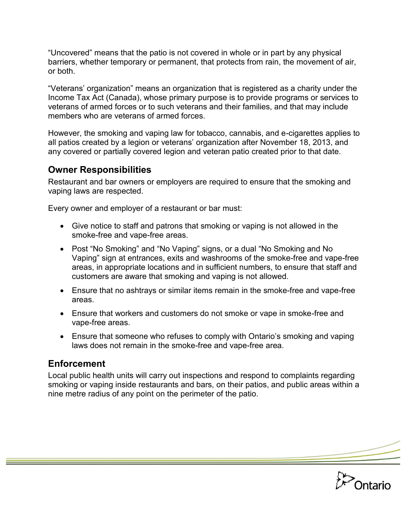"Uncovered" means that the patio is not covered in whole or in part by any physical barriers, whether temporary or permanent, that protects from rain, the movement of air, or both.

"Veterans' organization" means an organization that is registered as a charity under the Income Tax Act (Canada), whose primary purpose is to provide programs or services to veterans of armed forces or to such veterans and their families, and that may include members who are veterans of armed forces.

However, the smoking and vaping law for tobacco, cannabis, and e-cigarettes applies to all patios created by a legion or veterans' organization after November 18, 2013, and any covered or partially covered legion and veteran patio created prior to that date.

#### **Owner Responsibilities**

Restaurant and bar owners or employers are required to ensure that the smoking and vaping laws are respected.

Every owner and employer of a restaurant or bar must:

- Give notice to staff and patrons that smoking or vaping is not allowed in the smoke-free and vape-free areas.
- Post "No Smoking" and "No Vaping" signs, or a dual "No Smoking and No Vaping" sign at entrances, exits and washrooms of the smoke-free and vape-free areas, in appropriate locations and in sufficient numbers, to ensure that staff and customers are aware that smoking and vaping is not allowed.
- Ensure that no ashtrays or similar items remain in the smoke-free and vape-free areas.
- Ensure that workers and customers do not smoke or vape in smoke-free and vape-free areas.
- Ensure that someone who refuses to comply with Ontario's smoking and vaping laws does not remain in the smoke-free and vape-free area.

#### **Enforcement**

Local public health units will carry out inspections and respond to complaints regarding smoking or vaping inside restaurants and bars, on their patios, and public areas within a nine metre radius of any point on the perimeter of the patio.